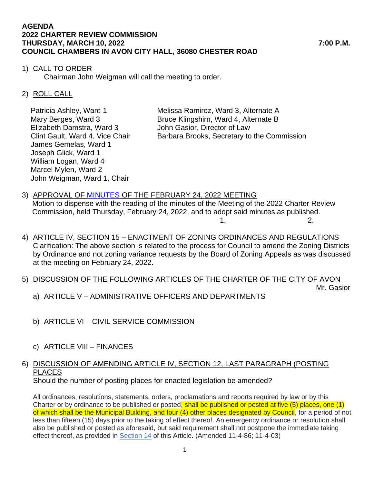#### **AGENDA 2022 CHARTER REVIEW COMMISSION THURSDAY, MARCH 10, 2022 7:00 P.M. COUNCIL CHAMBERS IN AVON CITY HALL, 36080 CHESTER ROAD**

## 1) CALL TO ORDER

Chairman John Weigman will call the meeting to order.

## 2) ROLL CALL

Patricia Ashley, Ward 1 Melissa Ramirez, Ward 3, Alternate A Elizabeth Damstra, Ward 3 John Gasior, Director of Law James Gemelas, Ward 1 Joseph Glick, Ward 1 William Logan, Ward 4 Marcel Mylen, Ward 2 John Weigman, Ward 1, Chair

Mary Berges, Ward 3 Bruce Klingshirn, Ward 4, Alternate B Clint Gault, Ward 4, Vice Chair Barbara Brooks, Secretary to the Commission

- 3) APPROVAL OF [MINUTES](https://www.cityofavon.com/AgendaCenter/ViewFile/Minutes/_02242022-1068) OF THE FEBRUARY 24, 2022 MEETING Motion to dispense with the reading of the minutes of the Meeting of the 2022 Charter Review Commission, held Thursday, February 24, 2022, and to adopt said minutes as published.  $1.$  2.
- 4) ARTICLE IV, SECTION 15 ENACTMENT OF ZONING ORDINANCES AND REGULATIONS Clarification: The above section is related to the process for Council to amend the Zoning Districts by Ordinance and not zoning variance requests by the Board of Zoning Appeals as was discussed at the meeting on February 24, 2022.
- 5) DISCUSSION OF THE FOLLOWING ARTICLES OF THE CHARTER OF THE CITY OF AVON

Mr. Gasior

- a) ARTICLE V ADMINISTRATIVE OFFICERS AND DEPARTMENTS
- b) ARTICLE VI CIVIL SERVICE COMMISSION
- c) ARTICLE VIII FINANCES

#### 6) DISCUSSION OF AMENDING ARTICLE IV, SECTION 12, LAST PARAGRAPH (POSTING PLACES Should the number of posting places for enacted legislation be amended?

All ordinances, resolutions, statements, orders, proclamations and reports required by law or by this Charter or by ordinance to be published or posted, shall be published or posted at five (5) places, one (1) of which shall be the Municipal Building, and four (4) other places designated by Council, for a period of not less than fifteen (15) days prior to the taking of effect thereof. An emergency ordinance or resolution shall also be published or posted as aforesaid, but said requirement shall not postpone the immediate taking effect thereof, as provided in [Section 14](https://codelibrary.amlegal.com/codes/avonoh/latest/avon_oh/0-0-0-30797#JD_4-14) of this Article. (Amended 11-4-86; 11-4-03)